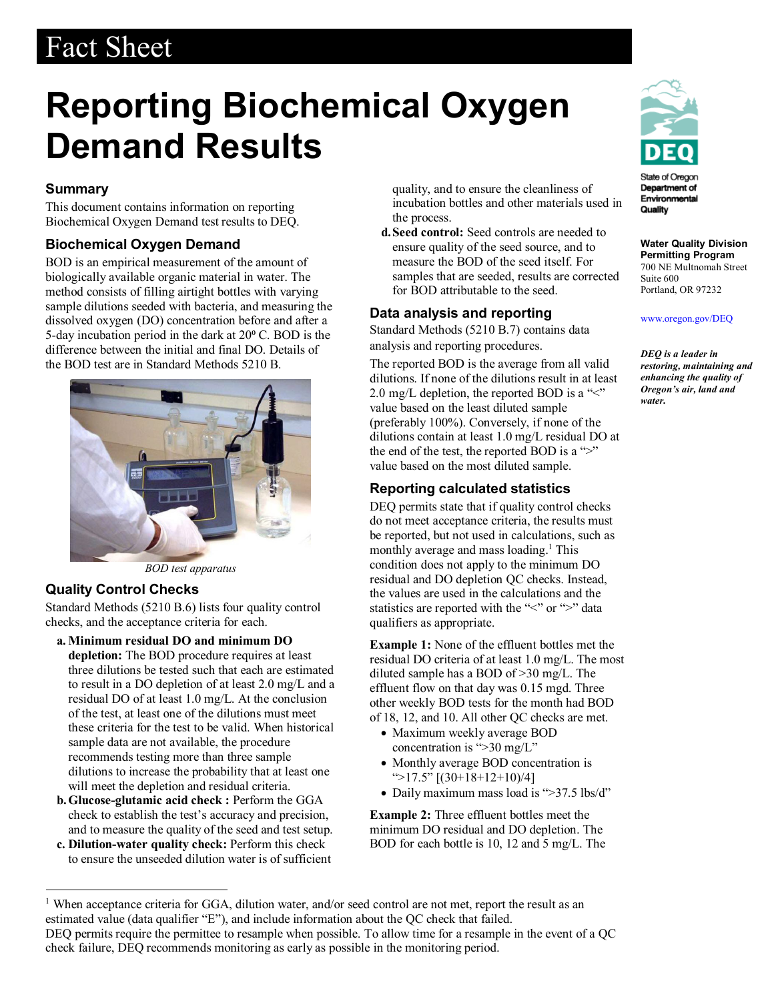## Fact Sheet

# **Reporting Biochemical Oxygen Demand Results**

#### **Summary**

This document contains information on reporting Biochemical Oxygen Demand test results to DEQ.

#### **Biochemical Oxygen Demand**

BOD is an empirical measurement of the amount of biologically available organic material in water. The method consists of filling airtight bottles with varying sample dilutions seeded with bacteria, and measuring the dissolved oxygen (DO) concentration before and after a 5-day incubation period in the dark at  $20^{\circ}$  C. BOD is the difference between the initial and final DO. Details of the BOD test are in Standard Methods 5210 B.



*BOD test apparatus*

#### **Quality Control Checks**

Standard Methods (5210 B.6) lists four quality control checks, and the acceptance criteria for each.

- **a. Minimum residual DO and minimum DO depletion:** The BOD procedure requires at least three dilutions be tested such that each are estimated to result in a DO depletion of at least 2.0 mg/L and a residual DO of at least 1.0 mg/L. At the conclusion of the test, at least one of the dilutions must meet these criteria for the test to be valid. When historical sample data are not available, the procedure recommends testing more than three sample dilutions to increase the probability that at least one will meet the depletion and residual criteria.
- **b.Glucose-glutamic acid check :** Perform the GGA check to establish the test's accuracy and precision, and to measure the quality of the seed and test setup.
- **c. Dilution-water quality check:** Perform this check to ensure the unseeded dilution water is of sufficient

quality, and to ensure the cleanliness of incubation bottles and other materials used in the process.

**d.Seed control:** Seed controls are needed to ensure quality of the seed source, and to measure the BOD of the seed itself. For samples that are seeded, results are corrected for BOD attributable to the seed.

#### **Data analysis and reporting**

Standard Methods (5210 B.7) contains data analysis and reporting procedures.

The reported BOD is the average from all valid dilutions. If none of the dilutions result in at least 2.0 mg/L depletion, the reported BOD is a " $\leq$ " value based on the least diluted sample (preferably 100%). Conversely, if none of the dilutions contain at least 1.0 mg/L residual DO at the end of the test, the reported BOD is a ">" value based on the most diluted sample.

### **Reporting calculated statistics**

DEQ permits state that if quality control checks do not meet acceptance criteria, the results must be reported, but not used in calculations, such as monthly average and mass loading.<sup>1</sup> This condition does not apply to the minimum DO residual and DO depletion QC checks. Instead, the values are used in the calculations and the statistics are reported with the "<" or ">" data qualifiers as appropriate.

**Example 1:** None of the effluent bottles met the residual DO criteria of at least 1.0 mg/L. The most diluted sample has a BOD of >30 mg/L. The effluent flow on that day was 0.15 mgd. Three other weekly BOD tests for the month had BOD of 18, 12, and 10. All other QC checks are met.

- Maximum weekly average BOD concentration is ">30 mg/L"
- Monthly average BOD concentration is "> $17.5$ "  $[(30+18+12+10)/4]$
- Daily maximum mass load is ">37.5 lbs/d"

**Example 2:** Three effluent bottles meet the minimum DO residual and DO depletion. The BOD for each bottle is 10, 12 and 5 mg/L. The



**Water Quality Division Permitting Program** 700 NE Multnomah Street Suite 600 Portland, OR 97232

Quality

#### [www.oregon.gov/DEQ](file://deq001/templates/General/www.oregon.gov/DEQ)

*DEQ is a leader in restoring, maintaining and enhancing the quality of Oregon's air, land and water.*

<span id="page-0-0"></span><sup>&</sup>lt;sup>1</sup> When acceptance criteria for GGA, dilution water, and/or seed control are not met, report the result as an estimated value (data qualifier "E"), and include information about the QC check that failed.

DEQ permits require the permittee to resample when possible. To allow time for a resample in the event of a QC check failure, DEQ recommends monitoring as early as possible in the monitoring period.